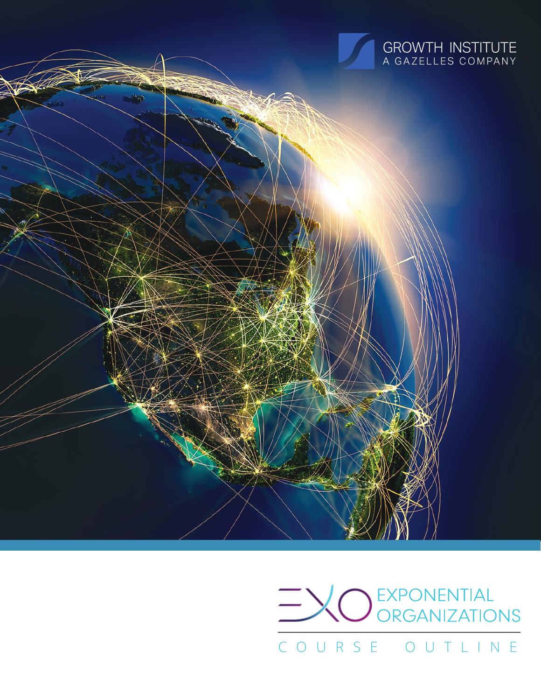

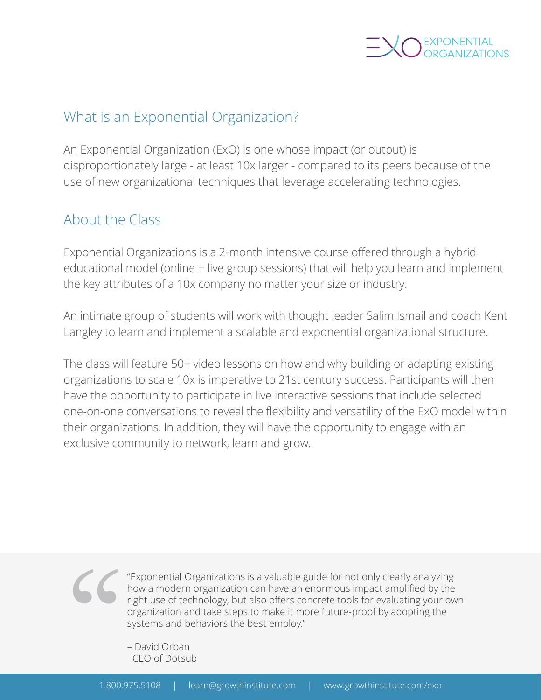

# What is an Exponential Organization?

An Exponential Organization (ExO) is one whose impact (or output) is disproportionately large - at least 10x larger - compared to its peers because of the use of new organizational techniques that leverage accelerating technologies.

# About the Class

Exponential Organizations is a 2-month intensive course offered through a hybrid educational model (online + live group sessions) that will help you learn and implement the key attributes of a 10x company no matter your size or industry.

An intimate group of students will work with thought leader Salim Ismail and coach Kent Langley to learn and implement a scalable and exponential organizational structure.

The class will feature 50+ video lessons on how and why building or adapting existing organizations to scale 10x is imperative to 21st century success. Participants will then have the opportunity to participate in live interactive sessions that include selected one-on-one conversations to reveal the flexibility and versatility of the ExO model within their organizations. In addition, they will have the opportunity to engage with an exclusive community to network, learn and grow.

"Exponential Organizations is a valuable guide for not only clearly analyzing how a modern organization can have an enormous impact amplified by the right use of technology, but also offers concrete tools for evaluating your own organization and take steps to make it more future-proof by adopting the systems and behaviors the best employ."

– David Orban CEO of Dotsub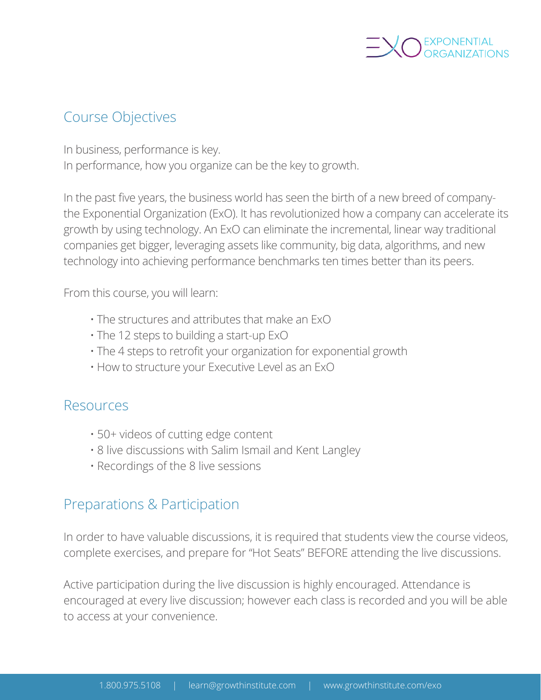

# Course Objectives

In business, performance is key. In performance, how you organize can be the key to growth.

In the past five years, the business world has seen the birth of a new breed of companythe Exponential Organization (ExO). It has revolutionized how a company can accelerate its growth by using technology. An ExO can eliminate the incremental, linear way traditional companies get bigger, leveraging assets like community, big data, algorithms, and new technology into achieving performance benchmarks ten times better than its peers.

From this course, you will learn:

- The structures and attributes that make an ExO
- The 12 steps to building a start-up ExO
- The 4 steps to retrofit your organization for exponential growth
- How to structure your Executive Level as an ExO

#### Resources

- 50+ videos of cutting edge content
- 8 live discussions with Salim Ismail and Kent Langley
- Recordings of the 8 live sessions

## Preparations & Participation

In order to have valuable discussions, it is required that students view the course videos, complete exercises, and prepare for "Hot Seats" BEFORE attending the live discussions.

Active participation during the live discussion is highly encouraged. Attendance is encouraged at every live discussion; however each class is recorded and you will be able to access at your convenience.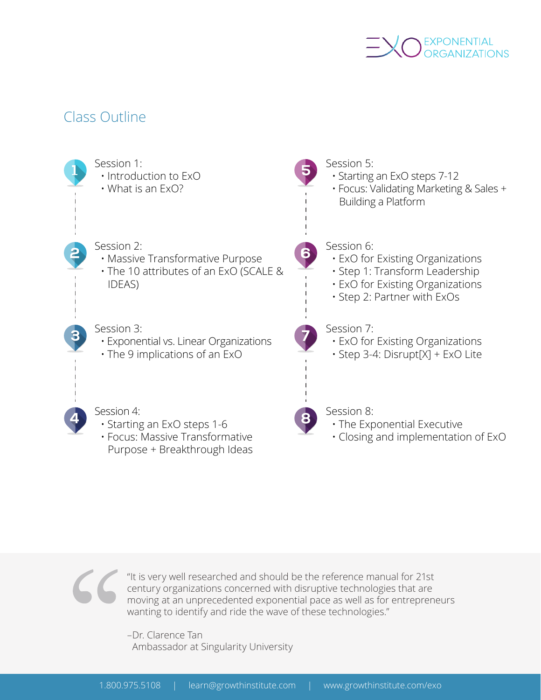

### Class Outline



"It is very well researched and should be the reference manual for 21st century organizations concerned with disruptive technologies that are moving at an unprecedented exponential pace as well as for entrepreneurs wanting to identify and ride the wave of these technologies."

–Dr. Clarence Tan Ambassador at Singularity University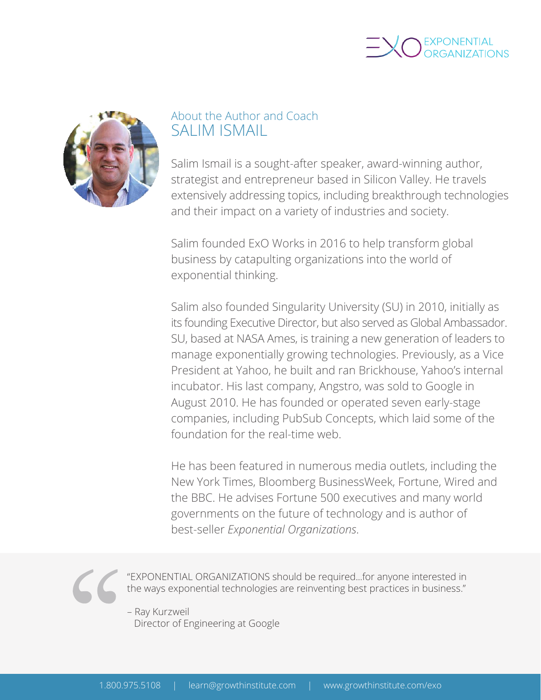



### About the Author and Coach SALIM ISMAIL

Salim Ismail is a sought-after speaker, award-winning author, strategist and entrepreneur based in Silicon Valley. He travels extensively addressing topics, including breakthrough technologies and their impact on a variety of industries and society.

Salim founded ExO Works in 2016 to help transform global business by catapulting organizations into the world of exponential thinking.

Salim also founded Singularity University (SU) in 2010, initially as its founding Executive Director, but also served as Global Ambassador. SU, based at NASA Ames, is training a new generation of leaders to manage exponentially growing technologies. Previously, as a Vice President at Yahoo, he built and ran Brickhouse, Yahoo's internal incubator. His last company, Angstro, was sold to Google in August 2010. He has founded or operated seven early-stage companies, including PubSub Concepts, which laid some of the foundation for the real-time web.

He has been featured in numerous media outlets, including the New York Times, Bloomberg BusinessWeek, Fortune, Wired and the BBC. He advises Fortune 500 executives and many world governments on the future of technology and is author of best-seller *Exponential Organizations*.

"EXPONENTIAL ORGANIZATIONS should be required...for anyone interested in the ways exponential technologies are reinventing best practices in business."

– Ray Kurzweil Director of Engineering at Google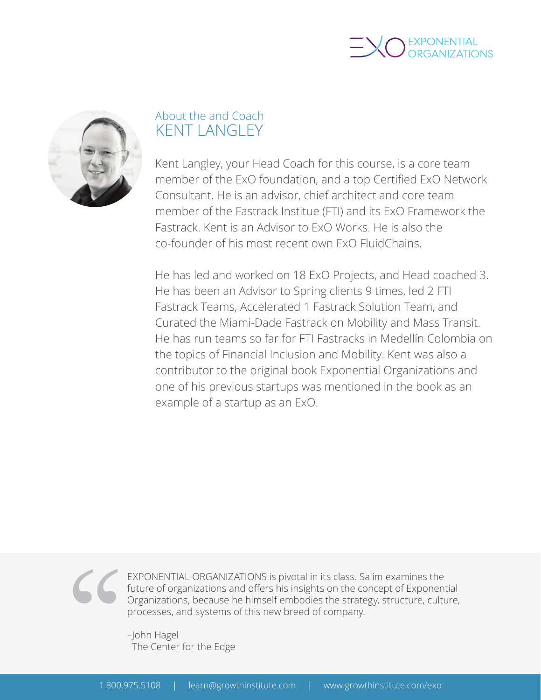



### About the and Coach KENT LANGLEY

Kent Langley, your Head Coach for this course, is a core team member of the ExO foundation, and a top Certified ExO Network Consultant. He is an advisor, chief architect and core team member of the Fastrack Institue (FTI) and its ExO Framework the Fastrack. Kent is an Advisor to ExO Works. He is also the co-founder of his most recent own ExO FluidChains.

He has led and worked on 18 ExO Projects, and Head coached 3. He has been an Advisor to Spring clients 9 times, led 2 FTI Fastrack Teams, Accelerated 1 Fastrack Solution Team, and Curated the Miami-Dade Fastrack on Mobility and Mass Transit. He has run teams so far for FTI Fastracks in Medellín Colombia on the topics of Financial Inclusion and Mobility. Kent was also a contributor to the original book Exponential Organizations and one of his previous startups was mentioned in the book as an example of a startup as an ExO.



EXPONENTIAL ORGANIZATIONS is pivotal in its class. Salim examines the future of organizations and offers his insights on the concept of Exponential Organizations, because he himself embodies the strategy, structure, culture, processes, and systems of this new breed of company.

–John Hagel The Center for the Edge